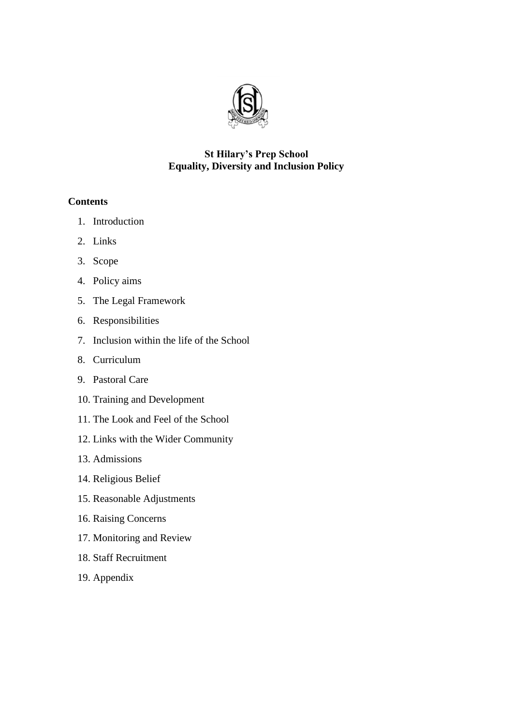

# **St Hilary's Prep School Equality, Diversity and Inclusion Policy**

# **Contents**

- 1. Introduction
- 2. Links
- 3. Scope
- 4. Policy aims
- 5. The Legal Framework
- 6. Responsibilities
- 7. Inclusion within the life of the School
- 8. Curriculum
- 9. Pastoral Care
- 10. Training and Development
- 11. The Look and Feel of the School
- 12. Links with the Wider Community
- 13. Admissions
- 14. Religious Belief
- 15. Reasonable Adjustments
- 16. Raising Concerns
- 17. Monitoring and Review
- 18. Staff Recruitment
- 19. Appendix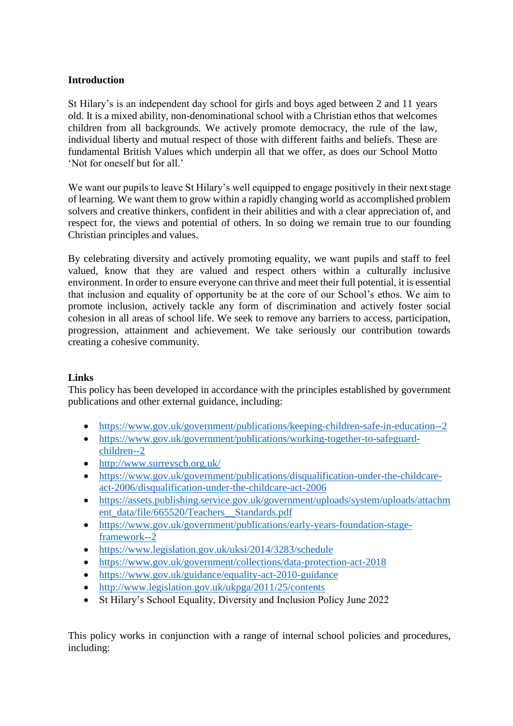# **Introduction**

St Hilary's is an independent day school for girls and boys aged between 2 and 11 years old. It is a mixed ability, non-denominational school with a Christian ethos that welcomes children from all backgrounds. We actively promote democracy, the rule of the law, individual liberty and mutual respect of those with different faiths and beliefs. These are fundamental British Values which underpin all that we offer, as does our School Motto 'Not for oneself but for all.'

We want our pupils to leave St Hilary's well equipped to engage positively in their next stage of learning. We want them to grow within a rapidly changing world as accomplished problem solvers and creative thinkers, confident in their abilities and with a clear appreciation of, and respect for, the views and potential of others. In so doing we remain true to our founding Christian principles and values.

By celebrating diversity and actively promoting equality, we want pupils and staff to feel valued, know that they are valued and respect others within a culturally inclusive environment. In order to ensure everyone can thrive and meet their full potential, it is essential that inclusion and equality of opportunity be at the core of our School's ethos. We aim to promote inclusion, actively tackle any form of discrimination and actively foster social cohesion in all areas of school life. We seek to remove any barriers to access, participation, progression, attainment and achievement. We take seriously our contribution towards creating a cohesive community.

# **Links**

This policy has been developed in accordance with the principles established by government publications and other external guidance, including:

- <https://www.gov.uk/government/publications/keeping-children-safe-in-education--2>
- [https://www.gov.uk/government/publications/working-together-to-safeguard](https://www.gov.uk/government/publications/working-together-to-safeguard-children--2)[children--2](https://www.gov.uk/government/publications/working-together-to-safeguard-children--2)
- <http://www.surreyscb.org.uk/>
- [https://www.gov.uk/government/publications/disqualification-under-the-childcare](https://www.gov.uk/government/publications/disqualification-under-the-childcare-act-2006/disqualification-under-the-childcare-act-2006)[act-2006/disqualification-under-the-childcare-act-2006](https://www.gov.uk/government/publications/disqualification-under-the-childcare-act-2006/disqualification-under-the-childcare-act-2006)
- [https://assets.publishing.service.gov.uk/government/uploads/system/uploads/attachm](https://assets.publishing.service.gov.uk/government/uploads/system/uploads/attachment_data/file/665520/Teachers__Standards.pdf) [ent\\_data/file/665520/Teachers\\_\\_Standards.pdf](https://assets.publishing.service.gov.uk/government/uploads/system/uploads/attachment_data/file/665520/Teachers__Standards.pdf)
- [https://www.gov.uk/government/publications/early-years-foundation-stage](https://www.gov.uk/government/publications/early-years-foundation-stage-framework--2)[framework--2](https://www.gov.uk/government/publications/early-years-foundation-stage-framework--2)
- <https://www.legislation.gov.uk/uksi/2014/3283/schedule>
- <https://www.gov.uk/government/collections/data-protection-act-2018>
- <https://www.gov.uk/guidance/equality-act-2010-guidance>
- <http://www.legislation.gov.uk/ukpga/2011/25/contents>
- St Hilary's School Equality, Diversity and Inclusion Policy June 2022

This policy works in conjunction with a range of internal school policies and procedures, including: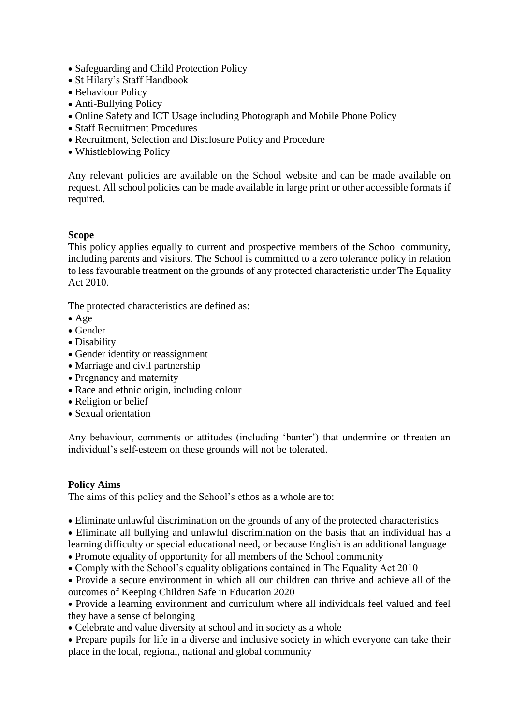- Safeguarding and Child Protection Policy
- St Hilary's Staff Handbook
- Behaviour Policy
- Anti-Bullying Policy
- Online Safety and ICT Usage including Photograph and Mobile Phone Policy
- Staff Recruitment Procedures
- Recruitment, Selection and Disclosure Policy and Procedure
- Whistleblowing Policy

Any relevant policies are available on the School website and can be made available on request. All school policies can be made available in large print or other accessible formats if required.

# **Scope**

This policy applies equally to current and prospective members of the School community, including parents and visitors. The School is committed to a zero tolerance policy in relation to less favourable treatment on the grounds of any protected characteristic under The Equality Act 2010.

The protected characteristics are defined as:

- Age
- Gender
- Disability
- Gender identity or reassignment
- Marriage and civil partnership
- Pregnancy and maternity
- Race and ethnic origin, including colour
- Religion or belief
- Sexual orientation

Any behaviour, comments or attitudes (including 'banter') that undermine or threaten an individual's self-esteem on these grounds will not be tolerated.

### **Policy Aims**

The aims of this policy and the School's ethos as a whole are to:

- Eliminate unlawful discrimination on the grounds of any of the protected characteristics
- Eliminate all bullying and unlawful discrimination on the basis that an individual has a learning difficulty or special educational need, or because English is an additional language
- Promote equality of opportunity for all members of the School community
- Comply with the School's equality obligations contained in The Equality Act 2010
- Provide a secure environment in which all our children can thrive and achieve all of the outcomes of Keeping Children Safe in Education 2020
- Provide a learning environment and curriculum where all individuals feel valued and feel they have a sense of belonging
- Celebrate and value diversity at school and in society as a whole
- Prepare pupils for life in a diverse and inclusive society in which everyone can take their place in the local, regional, national and global community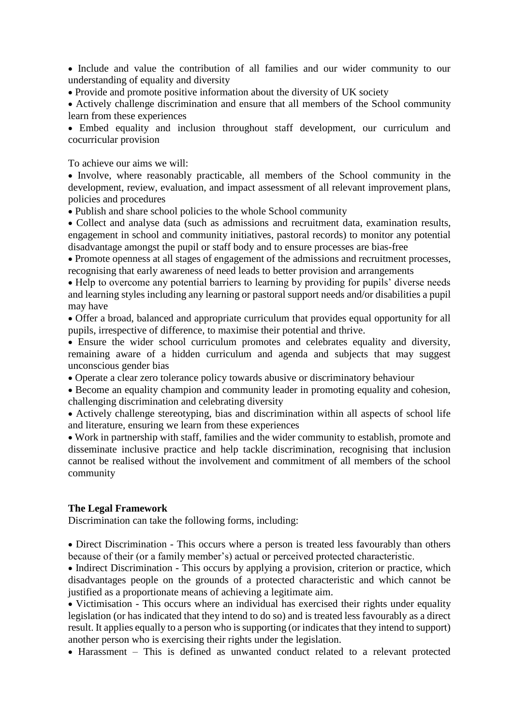• Include and value the contribution of all families and our wider community to our understanding of equality and diversity

• Provide and promote positive information about the diversity of UK society

• Actively challenge discrimination and ensure that all members of the School community learn from these experiences

• Embed equality and inclusion throughout staff development, our curriculum and cocurricular provision

To achieve our aims we will:

• Involve, where reasonably practicable, all members of the School community in the development, review, evaluation, and impact assessment of all relevant improvement plans, policies and procedures

• Publish and share school policies to the whole School community

• Collect and analyse data (such as admissions and recruitment data, examination results, engagement in school and community initiatives, pastoral records) to monitor any potential disadvantage amongst the pupil or staff body and to ensure processes are bias-free

• Promote openness at all stages of engagement of the admissions and recruitment processes, recognising that early awareness of need leads to better provision and arrangements

• Help to overcome any potential barriers to learning by providing for pupils' diverse needs and learning styles including any learning or pastoral support needs and/or disabilities a pupil may have

• Offer a broad, balanced and appropriate curriculum that provides equal opportunity for all pupils, irrespective of difference, to maximise their potential and thrive.

• Ensure the wider school curriculum promotes and celebrates equality and diversity, remaining aware of a hidden curriculum and agenda and subjects that may suggest unconscious gender bias

• Operate a clear zero tolerance policy towards abusive or discriminatory behaviour

• Become an equality champion and community leader in promoting equality and cohesion, challenging discrimination and celebrating diversity

• Actively challenge stereotyping, bias and discrimination within all aspects of school life and literature, ensuring we learn from these experiences

• Work in partnership with staff, families and the wider community to establish, promote and disseminate inclusive practice and help tackle discrimination, recognising that inclusion cannot be realised without the involvement and commitment of all members of the school community

### **The Legal Framework**

Discrimination can take the following forms, including:

• Direct Discrimination - This occurs where a person is treated less favourably than others because of their (or a family member's) actual or perceived protected characteristic.

• Indirect Discrimination - This occurs by applying a provision, criterion or practice, which disadvantages people on the grounds of a protected characteristic and which cannot be justified as a proportionate means of achieving a legitimate aim.

• Victimisation - This occurs where an individual has exercised their rights under equality legislation (or has indicated that they intend to do so) and is treated less favourably as a direct result. It applies equally to a person who is supporting (or indicates that they intend to support) another person who is exercising their rights under the legislation.

• Harassment – This is defined as unwanted conduct related to a relevant protected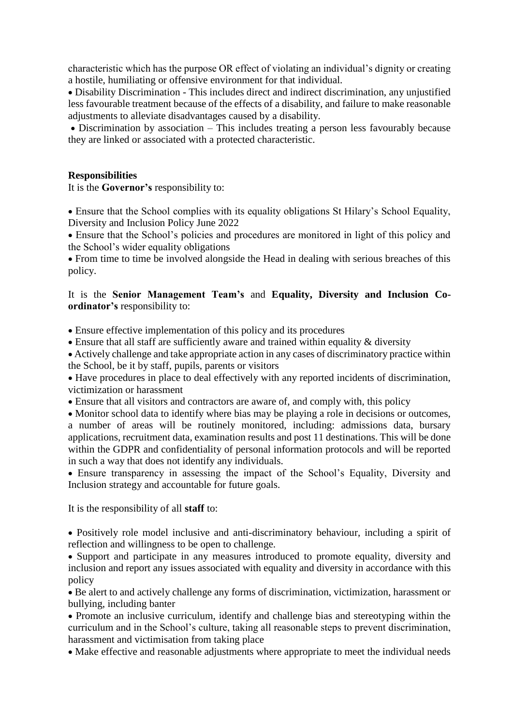characteristic which has the purpose OR effect of violating an individual's dignity or creating a hostile, humiliating or offensive environment for that individual.

• Disability Discrimination - This includes direct and indirect discrimination, any unjustified less favourable treatment because of the effects of a disability, and failure to make reasonable adjustments to alleviate disadvantages caused by a disability.

• Discrimination by association – This includes treating a person less favourably because they are linked or associated with a protected characteristic.

#### **Responsibilities**

It is the **Governor's** responsibility to:

• Ensure that the School complies with its equality obligations St Hilary's School Equality, Diversity and Inclusion Policy June 2022

• Ensure that the School's policies and procedures are monitored in light of this policy and the School's wider equality obligations

• From time to time be involved alongside the Head in dealing with serious breaches of this policy.

It is the **Senior Management Team's** and **Equality, Diversity and Inclusion Coordinator's** responsibility to:

• Ensure effective implementation of this policy and its procedures

• Ensure that all staff are sufficiently aware and trained within equality & diversity

• Actively challenge and take appropriate action in any cases of discriminatory practice within the School, be it by staff, pupils, parents or visitors

• Have procedures in place to deal effectively with any reported incidents of discrimination, victimization or harassment

• Ensure that all visitors and contractors are aware of, and comply with, this policy

• Monitor school data to identify where bias may be playing a role in decisions or outcomes, a number of areas will be routinely monitored, including: admissions data, bursary applications, recruitment data, examination results and post 11 destinations. This will be done within the GDPR and confidentiality of personal information protocols and will be reported in such a way that does not identify any individuals.

• Ensure transparency in assessing the impact of the School's Equality, Diversity and Inclusion strategy and accountable for future goals.

It is the responsibility of all **staff** to:

• Positively role model inclusive and anti-discriminatory behaviour, including a spirit of reflection and willingness to be open to challenge.

• Support and participate in any measures introduced to promote equality, diversity and inclusion and report any issues associated with equality and diversity in accordance with this policy

• Be alert to and actively challenge any forms of discrimination, victimization, harassment or bullying, including banter

• Promote an inclusive curriculum, identify and challenge bias and stereotyping within the curriculum and in the School's culture, taking all reasonable steps to prevent discrimination, harassment and victimisation from taking place

• Make effective and reasonable adjustments where appropriate to meet the individual needs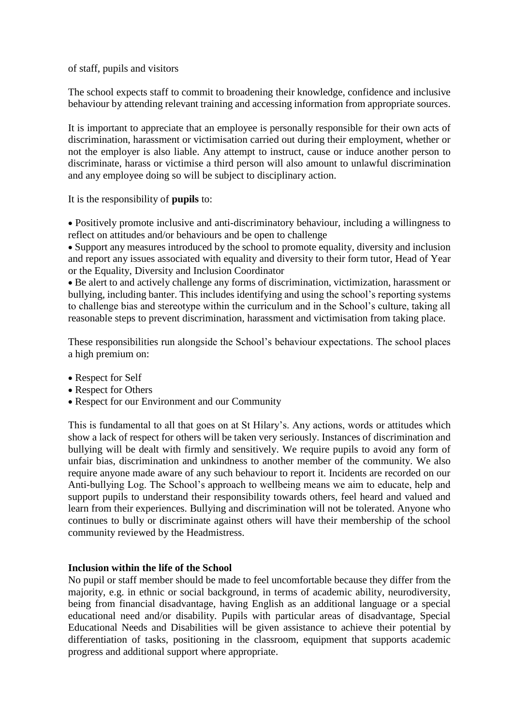of staff, pupils and visitors

The school expects staff to commit to broadening their knowledge, confidence and inclusive behaviour by attending relevant training and accessing information from appropriate sources.

It is important to appreciate that an employee is personally responsible for their own acts of discrimination, harassment or victimisation carried out during their employment, whether or not the employer is also liable. Any attempt to instruct, cause or induce another person to discriminate, harass or victimise a third person will also amount to unlawful discrimination and any employee doing so will be subject to disciplinary action.

It is the responsibility of **pupils** to:

• Positively promote inclusive and anti-discriminatory behaviour, including a willingness to reflect on attitudes and/or behaviours and be open to challenge

• Support any measures introduced by the school to promote equality, diversity and inclusion and report any issues associated with equality and diversity to their form tutor, Head of Year or the Equality, Diversity and Inclusion Coordinator

• Be alert to and actively challenge any forms of discrimination, victimization, harassment or bullying, including banter. This includes identifying and using the school's reporting systems to challenge bias and stereotype within the curriculum and in the School's culture, taking all reasonable steps to prevent discrimination, harassment and victimisation from taking place.

These responsibilities run alongside the School's behaviour expectations. The school places a high premium on:

- Respect for Self
- Respect for Others
- Respect for our Environment and our Community

This is fundamental to all that goes on at St Hilary's. Any actions, words or attitudes which show a lack of respect for others will be taken very seriously. Instances of discrimination and bullying will be dealt with firmly and sensitively. We require pupils to avoid any form of unfair bias, discrimination and unkindness to another member of the community. We also require anyone made aware of any such behaviour to report it. Incidents are recorded on our Anti-bullying Log. The School's approach to wellbeing means we aim to educate, help and support pupils to understand their responsibility towards others, feel heard and valued and learn from their experiences. Bullying and discrimination will not be tolerated. Anyone who continues to bully or discriminate against others will have their membership of the school community reviewed by the Headmistress.

### **Inclusion within the life of the School**

No pupil or staff member should be made to feel uncomfortable because they differ from the majority, e.g. in ethnic or social background, in terms of academic ability, neurodiversity, being from financial disadvantage, having English as an additional language or a special educational need and/or disability. Pupils with particular areas of disadvantage, Special Educational Needs and Disabilities will be given assistance to achieve their potential by differentiation of tasks, positioning in the classroom, equipment that supports academic progress and additional support where appropriate.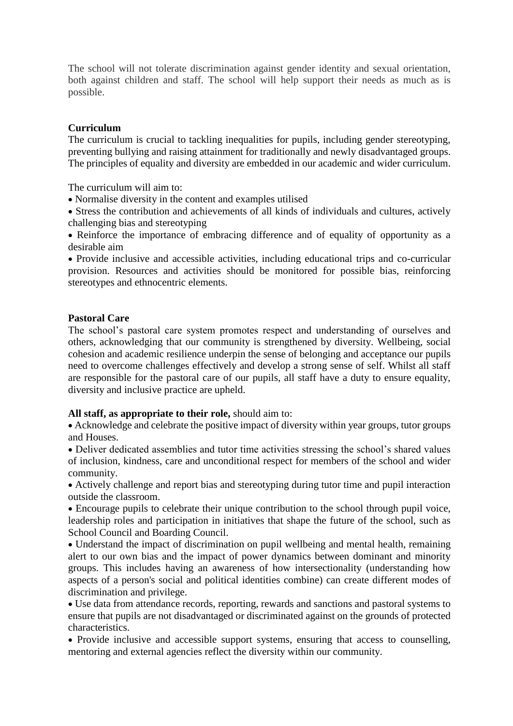The school will not tolerate discrimination against gender identity and sexual orientation, both against children and staff. The school will help support their needs as much as is possible.

## **Curriculum**

The curriculum is crucial to tackling inequalities for pupils, including gender stereotyping, preventing bullying and raising attainment for traditionally and newly disadvantaged groups. The principles of equality and diversity are embedded in our academic and wider curriculum.

The curriculum will aim to:

• Normalise diversity in the content and examples utilised

• Stress the contribution and achievements of all kinds of individuals and cultures, actively challenging bias and stereotyping

• Reinforce the importance of embracing difference and of equality of opportunity as a desirable aim

• Provide inclusive and accessible activities, including educational trips and co-curricular provision. Resources and activities should be monitored for possible bias, reinforcing stereotypes and ethnocentric elements.

### **Pastoral Care**

The school's pastoral care system promotes respect and understanding of ourselves and others, acknowledging that our community is strengthened by diversity. Wellbeing, social cohesion and academic resilience underpin the sense of belonging and acceptance our pupils need to overcome challenges effectively and develop a strong sense of self. Whilst all staff are responsible for the pastoral care of our pupils, all staff have a duty to ensure equality, diversity and inclusive practice are upheld.

### **All staff, as appropriate to their role,** should aim to:

• Acknowledge and celebrate the positive impact of diversity within year groups, tutor groups and Houses.

• Deliver dedicated assemblies and tutor time activities stressing the school's shared values of inclusion, kindness, care and unconditional respect for members of the school and wider community.

• Actively challenge and report bias and stereotyping during tutor time and pupil interaction outside the classroom.

• Encourage pupils to celebrate their unique contribution to the school through pupil voice, leadership roles and participation in initiatives that shape the future of the school, such as School Council and Boarding Council.

• Understand the impact of discrimination on pupil wellbeing and mental health, remaining alert to our own bias and the impact of power dynamics between dominant and minority groups. This includes having an awareness of how intersectionality (understanding how aspects of a person's social and political identities combine) can create different modes of discrimination and privilege.

• Use data from attendance records, reporting, rewards and sanctions and pastoral systems to ensure that pupils are not disadvantaged or discriminated against on the grounds of protected characteristics.

• Provide inclusive and accessible support systems, ensuring that access to counselling, mentoring and external agencies reflect the diversity within our community.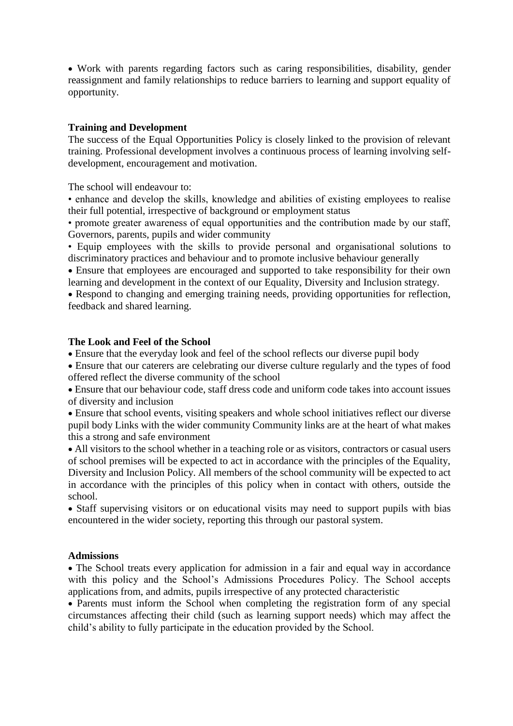• Work with parents regarding factors such as caring responsibilities, disability, gender reassignment and family relationships to reduce barriers to learning and support equality of opportunity.

### **Training and Development**

The success of the Equal Opportunities Policy is closely linked to the provision of relevant training. Professional development involves a continuous process of learning involving selfdevelopment, encouragement and motivation.

The school will endeavour to:

• enhance and develop the skills, knowledge and abilities of existing employees to realise their full potential, irrespective of background or employment status

• promote greater awareness of equal opportunities and the contribution made by our staff, Governors, parents, pupils and wider community

• Equip employees with the skills to provide personal and organisational solutions to discriminatory practices and behaviour and to promote inclusive behaviour generally

• Ensure that employees are encouraged and supported to take responsibility for their own learning and development in the context of our Equality, Diversity and Inclusion strategy.

• Respond to changing and emerging training needs, providing opportunities for reflection, feedback and shared learning.

#### **The Look and Feel of the School**

• Ensure that the everyday look and feel of the school reflects our diverse pupil body

• Ensure that our caterers are celebrating our diverse culture regularly and the types of food offered reflect the diverse community of the school

• Ensure that our behaviour code, staff dress code and uniform code takes into account issues of diversity and inclusion

• Ensure that school events, visiting speakers and whole school initiatives reflect our diverse pupil body Links with the wider community Community links are at the heart of what makes this a strong and safe environment

• All visitors to the school whether in a teaching role or as visitors, contractors or casual users of school premises will be expected to act in accordance with the principles of the Equality, Diversity and Inclusion Policy. All members of the school community will be expected to act in accordance with the principles of this policy when in contact with others, outside the school.

• Staff supervising visitors or on educational visits may need to support pupils with bias encountered in the wider society, reporting this through our pastoral system.

#### **Admissions**

• The School treats every application for admission in a fair and equal way in accordance with this policy and the School's Admissions Procedures Policy. The School accepts applications from, and admits, pupils irrespective of any protected characteristic

• Parents must inform the School when completing the registration form of any special circumstances affecting their child (such as learning support needs) which may affect the child's ability to fully participate in the education provided by the School.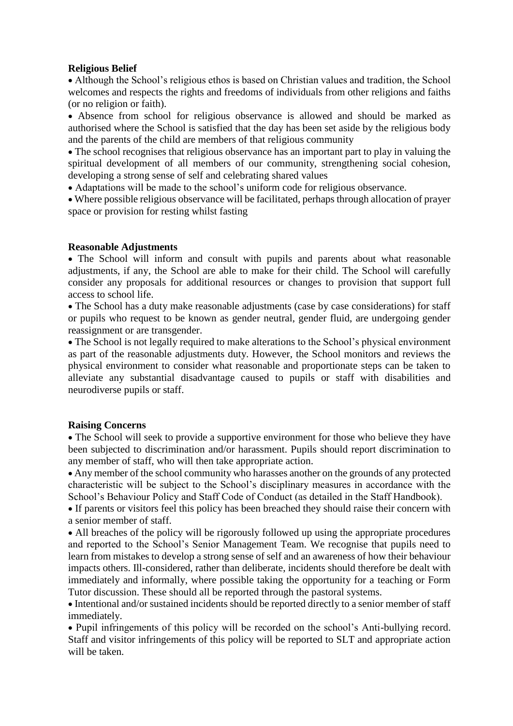# **Religious Belief**

• Although the School's religious ethos is based on Christian values and tradition, the School welcomes and respects the rights and freedoms of individuals from other religions and faiths (or no religion or faith).

• Absence from school for religious observance is allowed and should be marked as authorised where the School is satisfied that the day has been set aside by the religious body and the parents of the child are members of that religious community

• The school recognises that religious observance has an important part to play in valuing the spiritual development of all members of our community, strengthening social cohesion, developing a strong sense of self and celebrating shared values

• Adaptations will be made to the school's uniform code for religious observance.

• Where possible religious observance will be facilitated, perhaps through allocation of prayer space or provision for resting whilst fasting

# **Reasonable Adjustments**

• The School will inform and consult with pupils and parents about what reasonable adjustments, if any, the School are able to make for their child. The School will carefully consider any proposals for additional resources or changes to provision that support full access to school life.

• The School has a duty make reasonable adjustments (case by case considerations) for staff or pupils who request to be known as gender neutral, gender fluid, are undergoing gender reassignment or are transgender.

• The School is not legally required to make alterations to the School's physical environment as part of the reasonable adjustments duty. However, the School monitors and reviews the physical environment to consider what reasonable and proportionate steps can be taken to alleviate any substantial disadvantage caused to pupils or staff with disabilities and neurodiverse pupils or staff.

# **Raising Concerns**

• The School will seek to provide a supportive environment for those who believe they have been subjected to discrimination and/or harassment. Pupils should report discrimination to any member of staff, who will then take appropriate action.

• Any member of the school community who harasses another on the grounds of any protected characteristic will be subject to the School's disciplinary measures in accordance with the School's Behaviour Policy and Staff Code of Conduct (as detailed in the Staff Handbook).

• If parents or visitors feel this policy has been breached they should raise their concern with a senior member of staff.

• All breaches of the policy will be rigorously followed up using the appropriate procedures and reported to the School's Senior Management Team. We recognise that pupils need to learn from mistakes to develop a strong sense of self and an awareness of how their behaviour impacts others. Ill-considered, rather than deliberate, incidents should therefore be dealt with immediately and informally, where possible taking the opportunity for a teaching or Form Tutor discussion. These should all be reported through the pastoral systems.

• Intentional and/or sustained incidents should be reported directly to a senior member of staff immediately.

• Pupil infringements of this policy will be recorded on the school's Anti-bullying record. Staff and visitor infringements of this policy will be reported to SLT and appropriate action will be taken.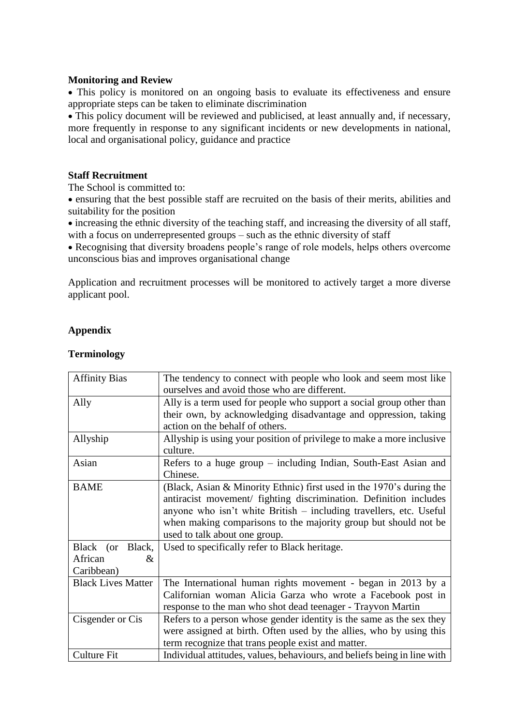### **Monitoring and Review**

• This policy is monitored on an ongoing basis to evaluate its effectiveness and ensure appropriate steps can be taken to eliminate discrimination

• This policy document will be reviewed and publicised, at least annually and, if necessary, more frequently in response to any significant incidents or new developments in national, local and organisational policy, guidance and practice

#### **Staff Recruitment**

The School is committed to:

• ensuring that the best possible staff are recruited on the basis of their merits, abilities and suitability for the position

• increasing the ethnic diversity of the teaching staff, and increasing the diversity of all staff, with a focus on underrepresented groups – such as the ethnic diversity of staff

• Recognising that diversity broadens people's range of role models, helps others overcome unconscious bias and improves organisational change

Application and recruitment processes will be monitored to actively target a more diverse applicant pool.

### **Appendix**

#### **Terminology**

| <b>Affinity Bias</b>      | The tendency to connect with people who look and seem most like          |
|---------------------------|--------------------------------------------------------------------------|
|                           | ourselves and avoid those who are different.                             |
| Ally                      | Ally is a term used for people who support a social group other than     |
|                           | their own, by acknowledging disadvantage and oppression, taking          |
|                           | action on the behalf of others.                                          |
| Allyship                  | Allyship is using your position of privilege to make a more inclusive    |
|                           | culture.                                                                 |
| Asian                     | Refers to a huge group – including Indian, South-East Asian and          |
|                           | Chinese.                                                                 |
| <b>BAME</b>               | (Black, Asian & Minority Ethnic) first used in the 1970's during the     |
|                           | antiracist movement/ fighting discrimination. Definition includes        |
|                           | anyone who isn't white British – including travellers, etc. Useful       |
|                           | when making comparisons to the majority group but should not be          |
|                           | used to talk about one group.                                            |
| Black (or Black,          | Used to specifically refer to Black heritage.                            |
| African<br>&              |                                                                          |
| Caribbean)                |                                                                          |
| <b>Black Lives Matter</b> | The International human rights movement - began in 2013 by a             |
|                           | Californian woman Alicia Garza who wrote a Facebook post in              |
|                           | response to the man who shot dead teenager - Trayvon Martin              |
| Cisgender or Cis          | Refers to a person whose gender identity is the same as the sex they     |
|                           | were assigned at birth. Often used by the allies, who by using this      |
|                           | term recognize that trans people exist and matter.                       |
| Culture Fit               | Individual attitudes, values, behaviours, and beliefs being in line with |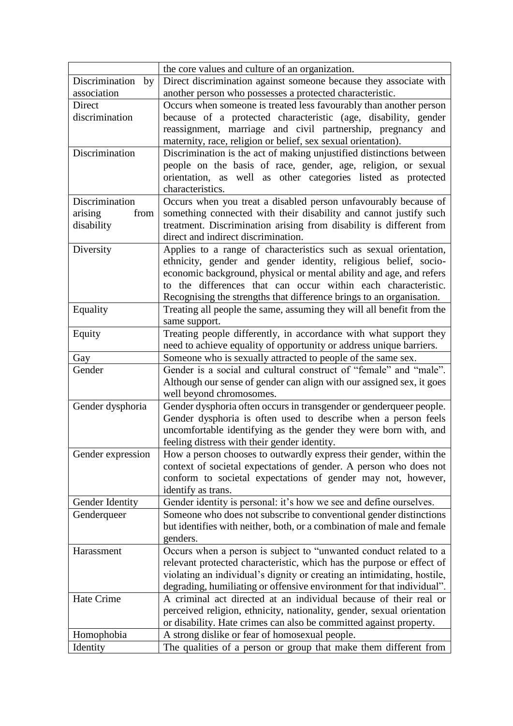|                      | the core values and culture of an organization.                         |
|----------------------|-------------------------------------------------------------------------|
| Discrimination<br>by | Direct discrimination against someone because they associate with       |
| association          | another person who possesses a protected characteristic.                |
| Direct               | Occurs when someone is treated less favourably than another person      |
| discrimination       | because of a protected characteristic (age, disability, gender          |
|                      | reassignment, marriage and civil partnership, pregnancy and             |
|                      | maternity, race, religion or belief, sex sexual orientation).           |
| Discrimination       | Discrimination is the act of making unjustified distinctions between    |
|                      | people on the basis of race, gender, age, religion, or sexual           |
|                      | orientation, as well as other categories listed as protected            |
|                      | characteristics.                                                        |
| Discrimination       | Occurs when you treat a disabled person unfavourably because of         |
| from<br>arising      | something connected with their disability and cannot justify such       |
| disability           | treatment. Discrimination arising from disability is different from     |
|                      | direct and indirect discrimination.                                     |
| Diversity            | Applies to a range of characteristics such as sexual orientation,       |
|                      | ethnicity, gender and gender identity, religious belief, socio-         |
|                      | economic background, physical or mental ability and age, and refers     |
|                      | to the differences that can occur within each characteristic.           |
|                      | Recognising the strengths that difference brings to an organisation.    |
| Equality             | Treating all people the same, assuming they will all benefit from the   |
|                      | same support.                                                           |
| Equity               | Treating people differently, in accordance with what support they       |
|                      | need to achieve equality of opportunity or address unique barriers.     |
| Gay                  | Someone who is sexually attracted to people of the same sex.            |
| Gender               | Gender is a social and cultural construct of "female" and "male".       |
|                      | Although our sense of gender can align with our assigned sex, it goes   |
|                      | well beyond chromosomes.                                                |
| Gender dysphoria     | Gender dysphoria often occurs in transgender or genderqueer people.     |
|                      | Gender dysphoria is often used to describe when a person feels          |
|                      | uncomfortable identifying as the gender they were born with, and        |
|                      | feeling distress with their gender identity.                            |
| Gender expression    | How a person chooses to outwardly express their gender, within the      |
|                      | context of societal expectations of gender. A person who does not       |
|                      | conform to societal expectations of gender may not, however,            |
|                      | identify as trans.                                                      |
| Gender Identity      | Gender identity is personal: it's how we see and define ourselves.      |
| Genderqueer          | Someone who does not subscribe to conventional gender distinctions      |
|                      | but identifies with neither, both, or a combination of male and female  |
|                      | genders.                                                                |
| Harassment           | Occurs when a person is subject to "unwanted conduct related to a       |
|                      | relevant protected characteristic, which has the purpose or effect of   |
|                      | violating an individual's dignity or creating an intimidating, hostile, |
|                      | degrading, humiliating or offensive environment for that individual".   |
| Hate Crime           | A criminal act directed at an individual because of their real or       |
|                      | perceived religion, ethnicity, nationality, gender, sexual orientation  |
|                      | or disability. Hate crimes can also be committed against property.      |
| Homophobia           | A strong dislike or fear of homosexual people.                          |
| Identity             | The qualities of a person or group that make them different from        |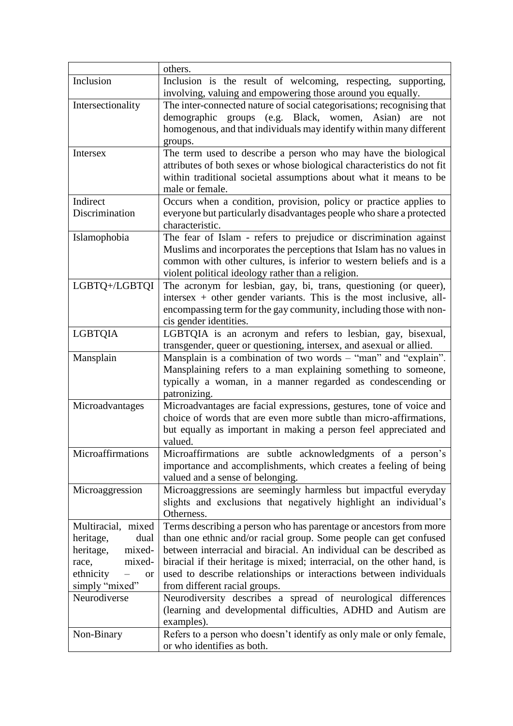|                        | others.                                                                                                                                |
|------------------------|----------------------------------------------------------------------------------------------------------------------------------------|
| Inclusion              | Inclusion is the result of welcoming, respecting, supporting,                                                                          |
|                        | involving, valuing and empowering those around you equally.                                                                            |
| Intersectionality      | The inter-connected nature of social categorisations; recognising that                                                                 |
|                        | demographic groups (e.g. Black, women, Asian) are not                                                                                  |
|                        | homogenous, and that individuals may identify within many different                                                                    |
|                        | groups.                                                                                                                                |
| Intersex               | The term used to describe a person who may have the biological                                                                         |
|                        | attributes of both sexes or whose biological characteristics do not fit                                                                |
|                        | within traditional societal assumptions about what it means to be                                                                      |
|                        | male or female.                                                                                                                        |
| Indirect               | Occurs when a condition, provision, policy or practice applies to                                                                      |
| Discrimination         | everyone but particularly disadvantages people who share a protected                                                                   |
|                        | characteristic.                                                                                                                        |
| Islamophobia           | The fear of Islam - refers to prejudice or discrimination against                                                                      |
|                        | Muslims and incorporates the perceptions that Islam has no values in                                                                   |
|                        | common with other cultures, is inferior to western beliefs and is a                                                                    |
| LGBTQ+/LGBTQI          | violent political ideology rather than a religion.                                                                                     |
|                        | The acronym for lesbian, gay, bi, trans, questioning (or queer),<br>intersex + other gender variants. This is the most inclusive, all- |
|                        | encompassing term for the gay community, including those with non-                                                                     |
|                        | cis gender identities.                                                                                                                 |
| <b>LGBTQIA</b>         | LGBTQIA is an acronym and refers to lesbian, gay, bisexual,                                                                            |
|                        | transgender, queer or questioning, intersex, and asexual or allied.                                                                    |
| Mansplain              | Mansplain is a combination of two words - "man" and "explain".                                                                         |
|                        | Mansplaining refers to a man explaining something to someone,                                                                          |
|                        | typically a woman, in a manner regarded as condescending or                                                                            |
|                        | patronizing.                                                                                                                           |
| Microadvantages        | Microadvantages are facial expressions, gestures, tone of voice and                                                                    |
|                        | choice of words that are even more subtle than micro-affirmations,                                                                     |
|                        | but equally as important in making a person feel appreciated and                                                                       |
|                        | valued.                                                                                                                                |
| Microaffirmations      | Microaffirmations are subtle acknowledgments of a person's                                                                             |
|                        | importance and accomplishments, which creates a feeling of being                                                                       |
|                        | valued and a sense of belonging.                                                                                                       |
| Microaggression        | Microaggressions are seemingly harmless but impactful everyday<br>slights and exclusions that negatively highlight an individual's     |
|                        | Otherness.                                                                                                                             |
| Multiracial, mixed     | Terms describing a person who has parentage or ancestors from more                                                                     |
| heritage,<br>dual      | than one ethnic and/or racial group. Some people can get confused                                                                      |
| heritage,<br>mixed-    | between interracial and biracial. An individual can be described as                                                                    |
| mixed-<br>race,        | biracial if their heritage is mixed; interracial, on the other hand, is                                                                |
| ethnicity<br><b>or</b> | used to describe relationships or interactions between individuals                                                                     |
| simply "mixed"         | from different racial groups.                                                                                                          |
| Neurodiverse           | Neurodiversity describes a spread of neurological differences                                                                          |
|                        | (learning and developmental difficulties, ADHD and Autism are                                                                          |
|                        | examples).                                                                                                                             |
| Non-Binary             | Refers to a person who doesn't identify as only male or only female,                                                                   |
|                        | or who identifies as both.                                                                                                             |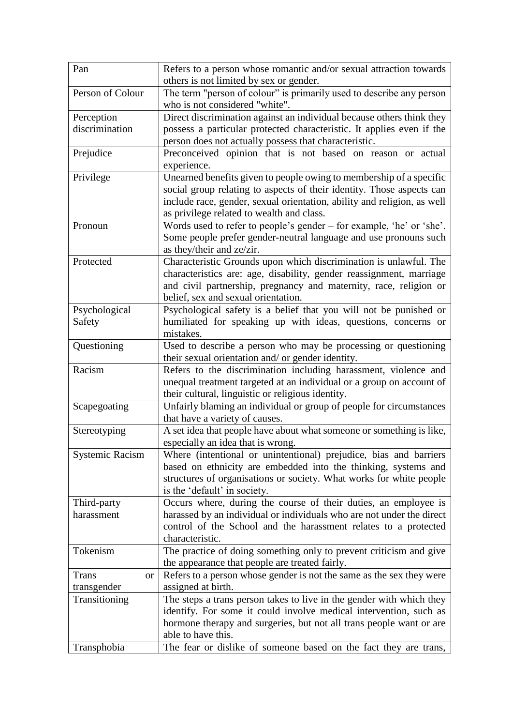| Pan                       | Refers to a person whose romantic and/or sexual attraction towards                                     |
|---------------------------|--------------------------------------------------------------------------------------------------------|
|                           | others is not limited by sex or gender.                                                                |
| Person of Colour          | The term "person of colour" is primarily used to describe any person<br>who is not considered "white". |
| Perception                | Direct discrimination against an individual because others think they                                  |
| discrimination            | possess a particular protected characteristic. It applies even if the                                  |
|                           | person does not actually possess that characteristic.                                                  |
|                           |                                                                                                        |
| Prejudice                 | Preconceived opinion that is not based on reason or actual<br>experience.                              |
| Privilege                 | Unearned benefits given to people owing to membership of a specific                                    |
|                           | social group relating to aspects of their identity. Those aspects can                                  |
|                           | include race, gender, sexual orientation, ability and religion, as well                                |
|                           | as privilege related to wealth and class.                                                              |
| Pronoun                   | Words used to refer to people's gender - for example, 'he' or 'she'.                                   |
|                           |                                                                                                        |
|                           | Some people prefer gender-neutral language and use pronouns such                                       |
|                           | as they/their and ze/zir.                                                                              |
| Protected                 | Characteristic Grounds upon which discrimination is unlawful. The                                      |
|                           | characteristics are: age, disability, gender reassignment, marriage                                    |
|                           | and civil partnership, pregnancy and maternity, race, religion or                                      |
|                           | belief, sex and sexual orientation.                                                                    |
| Psychological             | Psychological safety is a belief that you will not be punished or                                      |
| Safety                    | humiliated for speaking up with ideas, questions, concerns or                                          |
|                           | mistakes.                                                                                              |
| Questioning               | Used to describe a person who may be processing or questioning                                         |
|                           | their sexual orientation and/ or gender identity.                                                      |
| Racism                    | Refers to the discrimination including harassment, violence and                                        |
|                           | unequal treatment targeted at an individual or a group on account of                                   |
|                           | their cultural, linguistic or religious identity.                                                      |
| Scapegoating              | Unfairly blaming an individual or group of people for circumstances                                    |
|                           | that have a variety of causes.                                                                         |
| Stereotyping              | A set idea that people have about what someone or something is like,                                   |
|                           | especially an idea that is wrong.                                                                      |
| <b>Systemic Racism</b>    | Where (intentional or unintentional) prejudice, bias and barriers                                      |
|                           | based on ethnicity are embedded into the thinking, systems and                                         |
|                           | structures of organisations or society. What works for white people                                    |
|                           | is the 'default' in society.                                                                           |
| Third-party               | Occurs where, during the course of their duties, an employee is                                        |
| harassment                | harassed by an individual or individuals who are not under the direct                                  |
|                           | control of the School and the harassment relates to a protected                                        |
|                           | characteristic.                                                                                        |
| Tokenism                  | The practice of doing something only to prevent criticism and give                                     |
|                           | the appearance that people are treated fairly.                                                         |
| <b>Trans</b><br><b>or</b> | Refers to a person whose gender is not the same as the sex they were                                   |
| transgender               | assigned at birth.                                                                                     |
| Transitioning             | The steps a trans person takes to live in the gender with which they                                   |
|                           | identify. For some it could involve medical intervention, such as                                      |
|                           | hormone therapy and surgeries, but not all trans people want or are                                    |
|                           | able to have this.                                                                                     |
| Transphobia               | The fear or dislike of someone based on the fact they are trans,                                       |